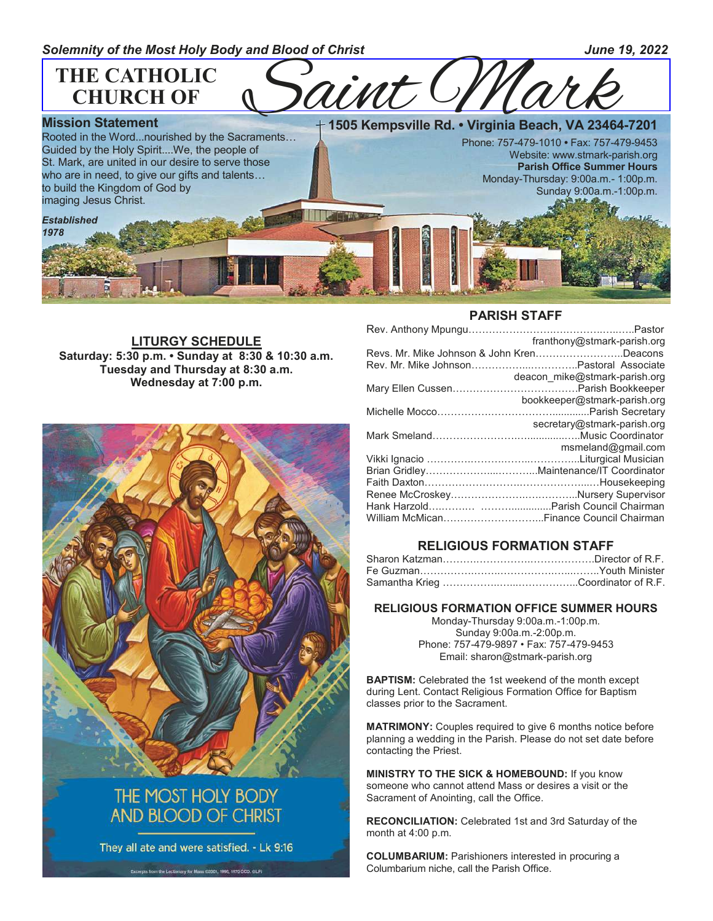

**LITURGY SCHEDULE Saturday: 5:30 p.m. • Sunday at 8:30 & 10:30 a.m. Tuesday and Thursday at 8:30 a.m. Wednesday at 7:00 p.m.**



# THE MOST HOLY BODY **AND BLOOD OF CHRIST**

They all ate and were satisfied. - Lk 9:16

Excerpts from the Lectionary for Mass (2001, 1998, 1970 CCD, CLP)

#### **PARISH STAFF**

| franthony@stmark-parish.org               |
|-------------------------------------------|
| Revs. Mr. Mike Johnson & John KrenDeacons |
|                                           |
| deacon mike@stmark-parish.org             |
|                                           |
| bookkeeper@stmark-parish.org              |
|                                           |
| secretary@stmark-parish.org               |
|                                           |
| msmeland@gmail.com                        |
|                                           |
|                                           |
|                                           |
|                                           |
|                                           |
|                                           |
|                                           |

## **RELIGIOUS FORMATION STAFF**

#### **RELIGIOUS FORMATION OFFICE SUMMER HOURS**

Monday-Thursday 9:00a.m.-1:00p.m. Sunday 9:00a.m.-2:00p.m. Phone: 757-479-9897 • Fax: 757-479-9453 Email: sharon@stmark-parish.org

**BAPTISM:** Celebrated the 1st weekend of the month except during Lent. Contact Religious Formation Office for Baptism classes prior to the Sacrament.

**MATRIMONY:** Couples required to give 6 months notice before planning a wedding in the Parish. Please do not set date before contacting the Priest.

**MINISTRY TO THE SICK & HOMEBOUND:** If you know someone who cannot attend Mass or desires a visit or the Sacrament of Anointing, call the Office.

**RECONCILIATION:** Celebrated 1st and 3rd Saturday of the month at 4:00 p.m.

**COLUMBARIUM:** Parishioners interested in procuring a Columbarium niche, call the Parish Office.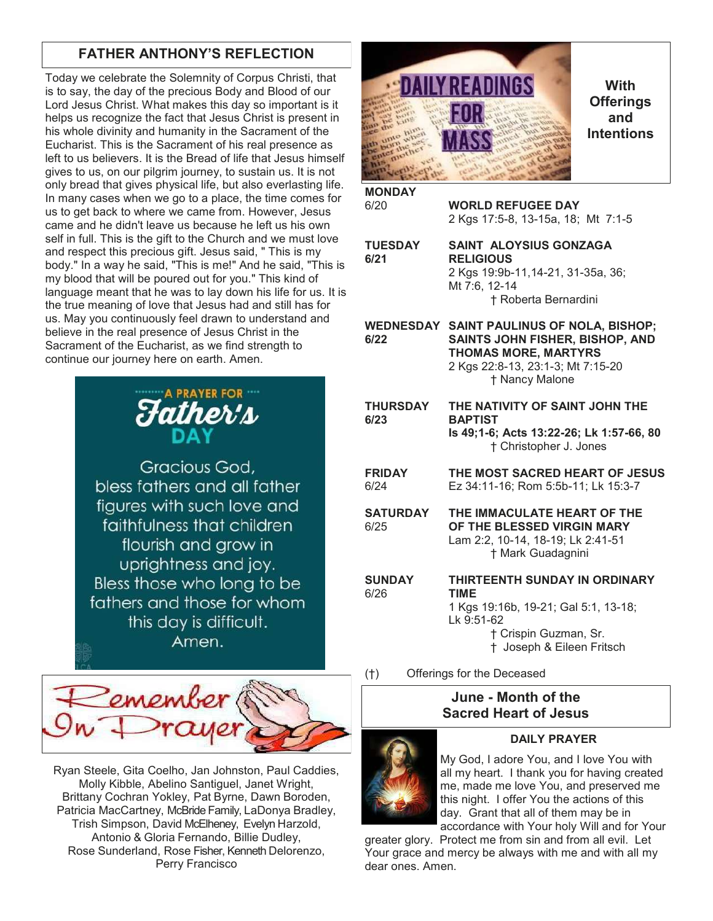# **FATHER ANTHONY'S REFLECTION**

Today we celebrate the Solemnity of Corpus Christi, that is to say, the day of the precious Body and Blood of our Lord Jesus Christ. What makes this day so important is it helps us recognize the fact that Jesus Christ is present in his whole divinity and humanity in the Sacrament of the Eucharist. This is the Sacrament of his real presence as left to us believers. It is the Bread of life that Jesus himself gives to us, on our pilgrim journey, to sustain us. It is not only bread that gives physical life, but also everlasting life. In many cases when we go to a place, the time comes for us to get back to where we came from. However, Jesus came and he didn't leave us because he left us his own self in full. This is the gift to the Church and we must love and respect this precious gift. Jesus said, " This is my body." In a way he said, "This is me!" And he said, "This is my blood that will be poured out for you." This kind of language meant that he was to lay down his life for us. It is the true meaning of love that Jesus had and still has for us. May you continuously feel drawn to understand and believe in the real presence of Jesus Christ in the Sacrament of the Eucharist, as we find strength to continue our journey here on earth. Amen.



Gracious God, bless fathers and all father figures with such love and faithfulness that children flourish and grow in uprightness and joy. Bless those who long to be fathers and those for whom this day is difficult. Amen.



Ryan Steele, Gita Coelho, Jan Johnston, Paul Caddies, Molly Kibble, Abelino Santiguel, Janet Wright, Brittany Cochran Yokley, Pat Byrne, Dawn Boroden, Patricia MacCartney, McBride Family, LaDonya Bradley, Trish Simpson, David McElheney, Evelyn Harzold, Antonio & Gloria Fernando, Billie Dudley, Rose Sunderland, Rose Fisher, Kenneth Delorenzo, Perry Francisco



**With Offerings and Intentions**

| <b>MONDAY</b> |                                    |
|---------------|------------------------------------|
| 6/20          | <b>WORLD REFUGEE DAY</b>           |
|               | 2 Kgs 17:5-8, 13-15a, 18; Mt 7:1-5 |

**TUESDAY SAINT ALOYSIUS GONZAGA 6/21 RELIGIOUS** 2 Kgs 19:9b-11,14-21, 31-35a, 36; Mt 7:6, 12-14 † Roberta Bernardini

**WEDNESDAY SAINT PAULINUS OF NOLA, BISHOP; 6/22 SAINTS JOHN FISHER, BISHOP, AND THOMAS MORE, MARTYRS** 2 Kgs 22:8-13, 23:1-3; Mt 7:15-20 † Nancy Malone

- **THURSDAY THE NATIVITY OF SAINT JOHN THE 6/23 BAPTIST Is 49;1-6; Acts 13:22-26; Lk 1:57-66, 80** † Christopher J. Jones
- **FRIDAY THE MOST SACRED HEART OF JESUS** 6/24 Ez 34:11-16; Rom 5:5b-11; Lk 15:3-7
- **SATURDAY THE IMMACULATE HEART OF THE** 6/25 **OF THE BLESSED VIRGIN MARY** Lam 2:2, 10-14, 18-19; Lk 2:41-51 † Mark Guadagnini
- **SUNDAY THIRTEENTH SUNDAY IN ORDINARY**  6/26 **TIME**  1 Kgs 19:16b, 19-21; Gal 5:1, 13-18; Lk 9:51-62 † Crispin Guzman, Sr. † Joseph & Eileen Fritsch

(†) Offerings for the Deceased

## **June - Month of the Sacred Heart of Jesus**



## **DAILY PRAYER**

My God, I adore You, and I love You with all my heart. I thank you for having created me, made me love You, and preserved me this night. I offer You the actions of this day. Grant that all of them may be in accordance with Your holy Will and for Your

greater glory. Protect me from sin and from all evil. Let Your grace and mercy be always with me and with all my dear ones. Amen.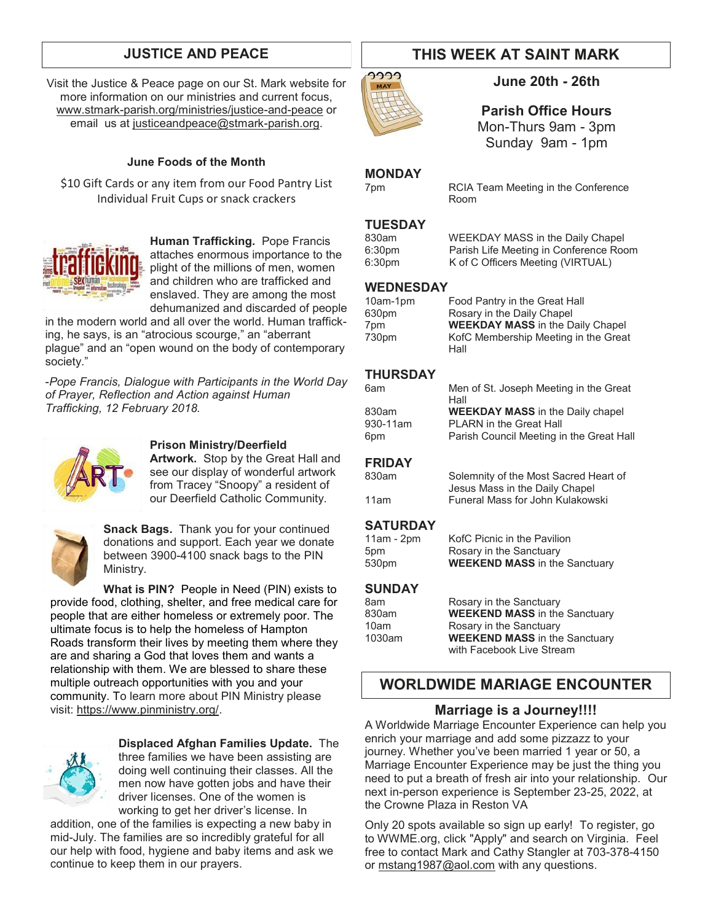Visit the Justice & Peace page on our St. Mark website for more information on our ministries and current focus, [www.stmark-parish.org/ministries/justice-and-peace](file:///C:/Users/Nanna/Desktop/www.stmark-parish.org/ministries/justice-and-peace) or email us at [justiceandpeace@stmark-parish.org.](mailto:justiceandpeace@stmark-parish.org)

### **June Foods of the Month**

\$10 Gift Cards or any item from our Food Pantry List Individual Fruit Cups or snack crackers



**Human Trafficking.** Pope Francis attaches enormous importance to the plight of the millions of men, women and children who are trafficked and enslaved. They are among the most dehumanized and discarded of people

in the modern world and all over the world. Human trafficking, he says, is an "atrocious scourge," an "aberrant plague" and an "open wound on the body of contemporary society."

-*Pope Francis, Dialogue with Participants in the World Day of Prayer, Reflection and Action against Human Trafficking, 12 February 2018.*



#### **Prison Ministry/Deerfield**

**Artwork.** Stop by the Great Hall and see our display of wonderful artwork from Tracey "Snoopy" a resident of our Deerfield Catholic Community.



**Snack Bags.** Thank you for your continued donations and support. Each year we donate between 3900-4100 snack bags to the PIN Ministry.

**What is PIN?** People in Need (PIN) exists to provide food, clothing, shelter, and free medical care for people that are either homeless or extremely poor. The ultimate focus is to help the homeless of Hampton Roads transform their lives by meeting them where they are and sharing a God that loves them and wants a relationship with them. We are blessed to share these multiple outreach opportunities with you and your community. To learn more about PIN Ministry please visit: [https://www.pinministry.org/.](https://www.pinministry.org/)



**Displaced Afghan Families Update.** The three families we have been assisting are doing well continuing their classes. All the men now have gotten jobs and have their driver licenses. One of the women is working to get her driver's license. In

addition, one of the families is expecting a new baby in mid-July. The families are so incredibly grateful for all our help with food, hygiene and baby items and ask we continue to keep them in our prayers.

# **JUSTICE AND PEACE THIS WEEK AT SAINT MARK**



**June 20th - 26th**

**Parish Office Hours**

Mon-Thurs 9am - 3pm Sunday 9am - 1pm

#### **MONDAY**

7pm RCIA Team Meeting in the Conference

# **TUESDAY**

830am WEEKDAY MASS in the Daily Chapel<br>6:30pm Parish Life Meeting in Conference Roo 6:30pm Parish Life Meeting in Conference Room<br>6:30pm K of C Officers Meeting (VIRTUAL) K of C Officers Meeting (VIRTUAL)

#### **WEDNESDAY**

| 10am-1pm | Food Pantry in the Great Hall           |
|----------|-----------------------------------------|
| 630pm    | Rosary in the Daily Chapel              |
| 7pm      | <b>WEEKDAY MASS</b> in the Daily Chapel |
| 730pm    | KofC Membership Meeting in the Great    |
|          | Hall                                    |

Room

#### **THURSDAY**

| 6am             | Men of St. Joseph Meeting in the Great<br>Hall |
|-----------------|------------------------------------------------|
| 830am           | <b>WEEKDAY MASS</b> in the Daily chapel        |
| 930-11am        | <b>PLARN</b> in the Great Hall                 |
| 6 <sub>pm</sub> | Parish Council Meeting in the Great Hall       |
|                 |                                                |

### **FRIDAY**

830am Solemnity of the Most Sacred Heart of Jesus Mass in the Daily Chapel 11am Funeral Mass for John Kulakowski

### **SATURDAY**

11am - 2pm KofC Picnic in the Pavilion 5pm Rosary in the Sanctuary<br>530pm **WEEKEND MASS** in the **WEEKEND MASS** in the Sanctuary

### **SUNDAY**

| 8am    | Rosary in the Sanctuary              |
|--------|--------------------------------------|
| 830am  | <b>WEEKEND MASS</b> in the Sanctuary |
| 10am   | Rosary in the Sanctuary              |
| 1030am | <b>WEEKEND MASS</b> in the Sanctuary |
|        | with Facebook Live Stream            |

## **WORLDWIDE MARIAGE ENCOUNTER**

## **Marriage is a Journey!!!!**

A Worldwide Marriage Encounter Experience can help you enrich your marriage and add some pizzazz to your journey. Whether you've been married 1 year or 50, a Marriage Encounter Experience may be just the thing you need to put a breath of fresh air into your relationship. Our next in-person experience is September 23-25, 2022, at the Crowne Plaza in Reston VA

Only 20 spots available so sign up early! To register, go to WWME.org, click "Apply" and search on Virginia. Feel free to contact Mark and Cathy Stangler at 703-378-4150 or [mstang1987@aol.com](mailto:mstang1987@aol.com) with any questions.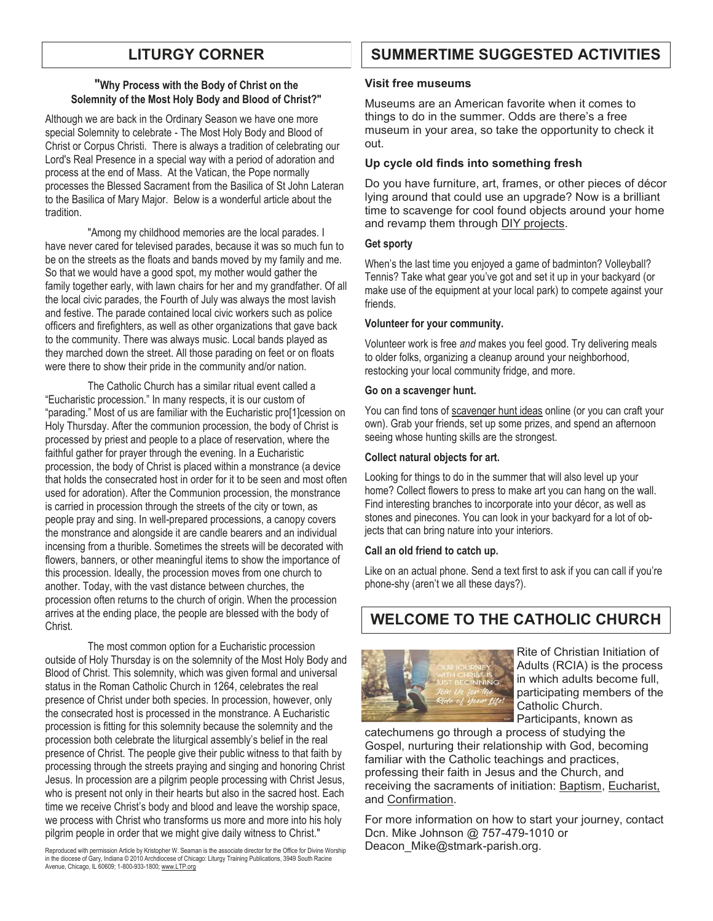#### **"Why Process with the Body of Christ on the Solemnity of the Most Holy Body and Blood of Christ?"**

Although we are back in the Ordinary Season we have one more special Solemnity to celebrate - The Most Holy Body and Blood of Christ or Corpus Christi. There is always a tradition of celebrating our Lord's Real Presence in a special way with a period of adoration and process at the end of Mass. At the Vatican, the Pope normally processes the Blessed Sacrament from the Basilica of St John Lateran to the Basilica of Mary Major. Below is a wonderful article about the tradition.

 "Among my childhood memories are the local parades. I have never cared for televised parades, because it was so much fun to be on the streets as the floats and bands moved by my family and me. So that we would have a good spot, my mother would gather the family together early, with lawn chairs for her and my grandfather. Of all the local civic parades, the Fourth of July was always the most lavish and festive. The parade contained local civic workers such as police officers and firefighters, as well as other organizations that gave back to the community. There was always music. Local bands played as they marched down the street. All those parading on feet or on floats were there to show their pride in the community and/or nation.

 The Catholic Church has a similar ritual event called a "Eucharistic procession." In many respects, it is our custom of "parading." Most of us are familiar with the Eucharistic pro[1]cession on Holy Thursday. After the communion procession, the body of Christ is processed by priest and people to a place of reservation, where the faithful gather for prayer through the evening. In a Eucharistic procession, the body of Christ is placed within a monstrance (a device that holds the consecrated host in order for it to be seen and most often used for adoration). After the Communion procession, the monstrance is carried in procession through the streets of the city or town, as people pray and sing. In well-prepared processions, a canopy covers the monstrance and alongside it are candle bearers and an individual incensing from a thurible. Sometimes the streets will be decorated with flowers, banners, or other meaningful items to show the importance of this procession. Ideally, the procession moves from one church to another. Today, with the vast distance between churches, the procession often returns to the church of origin. When the procession arrives at the ending place, the people are blessed with the body of Christ.

 The most common option for a Eucharistic procession outside of Holy Thursday is on the solemnity of the Most Holy Body and Blood of Christ. This solemnity, which was given formal and universal status in the Roman Catholic Church in 1264, celebrates the real presence of Christ under both species. In procession, however, only the consecrated host is processed in the monstrance. A Eucharistic procession is fitting for this solemnity because the solemnity and the procession both celebrate the liturgical assembly's belief in the real presence of Christ. The people give their public witness to that faith by processing through the streets praying and singing and honoring Christ Jesus. In procession are a pilgrim people processing with Christ Jesus, who is present not only in their hearts but also in the sacred host. Each time we receive Christ's body and blood and leave the worship space, we process with Christ who transforms us more and more into his holy pilgrim people in order that we might give daily witness to Christ."

Reproduced with permission Article by Kristopher W. Seaman is the associate director for the Office for Divine Worship in the diocese of Gary, Indiana © 2010 Archdiocese of Chicago: Liturgy Training Publications, 3949 South Racine<br>Avenue, Chicago, IL 60609; 1-800-933-1800; <u>www.LTP.org</u>

# **LITURGY CORNER SUMMERTIME SUGGESTED ACTIVITIES**

#### **Visit free museums**

Museums are an American favorite when it comes to things to do in the summer. Odds are there's a free museum in your area, so take the opportunity to check it out.

#### **Up cycle old finds into something fresh**

Do you have furniture, art, frames, or other pieces of décor lying around that could use an upgrade? Now is a brilliant time to scavenge for cool found objects around your home and revamp them through [DIY projects.](https://www.apartmenttherapy.com/10-best-sites-for-diy-projects-151234)

#### **Get sporty**

When's the last time you enjoyed a game of badminton? Volleyball? Tennis? Take what gear you've got and set it up in your backyard (or make use of the equipment at your local park) to compete against your friends.

#### **Volunteer for your community.**

Volunteer work is free *and* makes you feel good. Try delivering meals to older folks, organizing a cleanup around your neighborhood, restocking your local community fridge, and more.

#### **Go on a scavenger hunt.**

You can find tons of [scavenger hunt ideas](https://www.apartmenttherapy.com/how-to-set-up-a-treasure-hunt-in-your-home-212394) online (or you can craft your own). Grab your friends, set up some prizes, and spend an afternoon seeing whose hunting skills are the strongest.

#### **Collect natural objects for art.**

Looking for things to do in the summer that will also level up your home? Collect flowers to press to make art you can hang on the wall. Find interesting branches to incorporate into your décor, as well as stones and pinecones. You can look in your backyard for a lot of objects that can bring nature into your interiors.

#### **Call an old friend to catch up.**

Like on an actual phone. Send a text first to ask if you can call if you're phone-shy (aren't we all these days?).

# **WELCOME TO THE CATHOLIC CHURCH**



Rite of Christian Initiation of Adults (RCIA) is the process in which adults become full, participating members of the Catholic Church. Participants, known as

catechumens go through a process of studying the Gospel, nurturing their relationship with God, becoming familiar with the Catholic teachings and practices, professing their faith in Jesus and the Church, and receiving the sacraments of initiation: [Baptism,](https://www.catholicfaithstore.com/daily-bread/early-teachings-infant-baptism/) Eucharist, and [Confirmation.](https://www.catholicfaithstore.com/daily-bread/7-best-gifts-one-receives-confirmation/)

For more information on how to start your journey, contact Dcn. Mike Johnson @ 757-479-1010 or Deacon\_Mike@stmark-parish.org.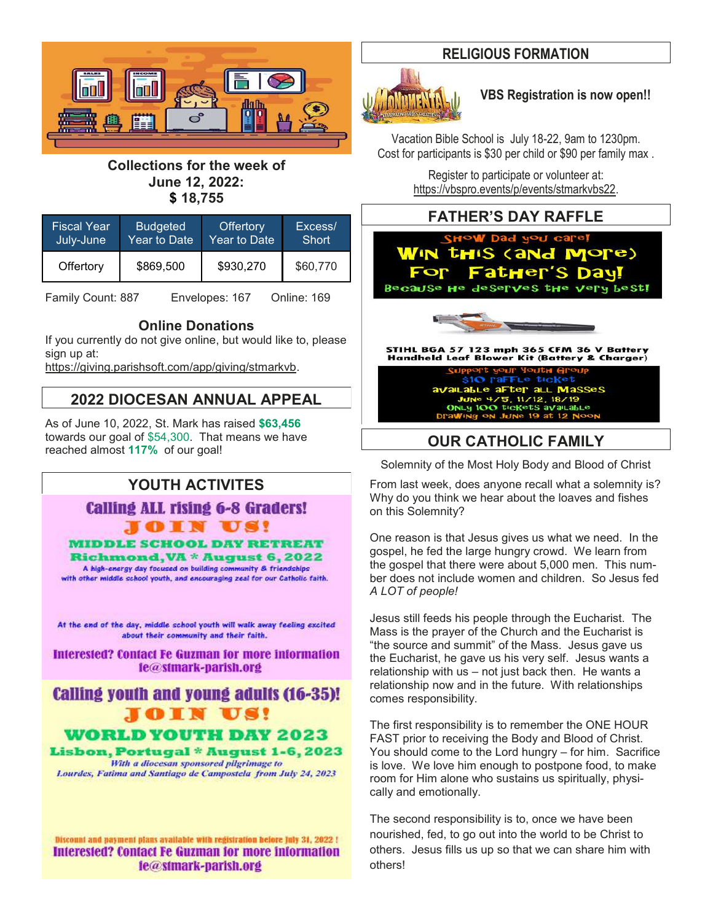

**Collections for the week of June 12, 2022: \$ 18,755**

| <b>Fiscal Year</b> | <b>Budgeted</b> | <b>Offertory</b> | Excess/  |
|--------------------|-----------------|------------------|----------|
| July-June          | Year to Date    | Year to Date     | Short    |
| Offertory          | \$869,500       | \$930,270        | \$60,770 |

Family Count: 887 Envelopes: 167 Online: 169

# **Online Donations**

If you currently do not give online, but would like to, please sign up at:

[https://giving.parishsoft.com/app/giving/stmarkvb.](https://giving.parishsoft.com/app/giving/stmarkvb)

## **2022 DIOCESAN ANNUAL APPEAL**

As of June 10, 2022, St. Mark has raised **\$63,456** towards our goal of \$54,300. That means we have towards our goal of \$54,300. That means we have **\_\_\_\_\_\_\_\_\_\_\_\_\_\_\_\_OUR CATHOLIC FAMILY**<br>reached almost 117% of our goal!

# **YOUTH ACTIVITES**

**Calling ALL rising 6-8 Graders! JOIN US!** 

**MIDDLE SCHOOL DAY RETREAT** 

Richmond, VA \* August 6, 2022 A high-energy day focused on building community & friendships with other middle school youth, and encouraging zeal for our Catholic faith.

At the end of the day, middle school youth will walk away feeling excited about their community and their faith.

**Interested? Contact Fe Guzman for more information** le@stmark-parish.org

# **Calling youth and young adults (16-35)!** OIN US!

WORLD YOUTH DAY 2023

Lisbon, Portugal \* August 1-6, 2023 With a diocesan sponsored pilgrimage to Lourdes, Fatima and Santiago de Campostela from July 24, 2023

Discount and payment plans available with registration before July 31, 2022 ! **Interested? Contact Fe Guzman for more information** le@stmark-parish.org

## **RELIGIOUS FORMATION**



## **VBS Registration is now open!!**

Vacation Bible School is July 18-22, 9am to 1230pm. Cost for participants is \$30 per child or \$90 per family max .

> Register to participate or volunteer at: [https://vbspro.events/p/events/stmarkvbs22.](https://vbspro.events/p/events/stmarkvbs22)

## **FATHER'S DAY RAFFLE**





STIHL BGA 57 123 mph 365 CFM 36 V Battery<br>Handheld Leaf Blower Kit (Battery & Charger)

\$10 raFFLe ticket available after all Masses<br>June 4/5, 11/12, 18/19<br>Only 100 tickets available

Solemnity of the Most Holy Body and Blood of Christ

From last week, does anyone recall what a solemnity is? Why do you think we hear about the loaves and fishes on this Solemnity?

One reason is that Jesus gives us what we need. In the gospel, he fed the large hungry crowd. We learn from the gospel that there were about 5,000 men. This number does not include women and children. So Jesus fed *A LOT of people!*

Jesus still feeds his people through the Eucharist. The Mass is the prayer of the Church and the Eucharist is "the source and summit" of the Mass. Jesus gave us the Eucharist, he gave us his very self. Jesus wants a relationship with us – not just back then. He wants a relationship now and in the future. With relationships comes responsibility.

The first responsibility is to remember the ONE HOUR FAST prior to receiving the Body and Blood of Christ. You should come to the Lord hungry – for him. Sacrifice is love. We love him enough to postpone food, to make room for Him alone who sustains us spiritually, physically and emotionally.

The second responsibility is to, once we have been nourished, fed, to go out into the world to be Christ to others. Jesus fills us up so that we can share him with others!